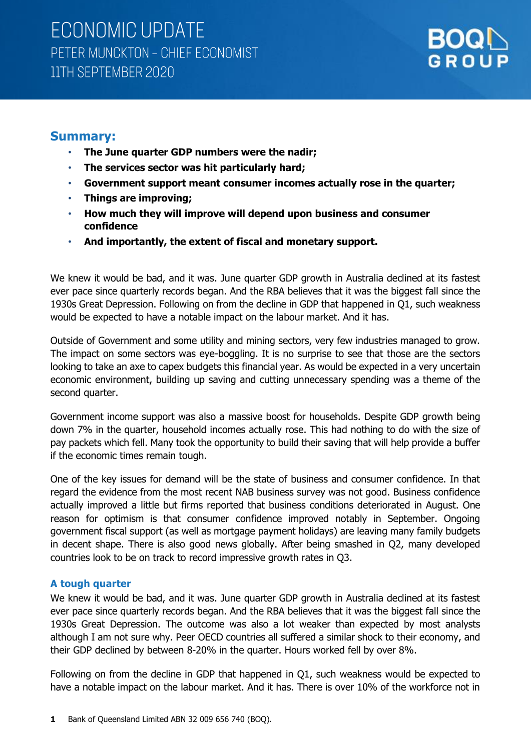

#### **Summary:**

- **The June quarter GDP numbers were the nadir;**
- **The services sector was hit particularly hard;**
- **Government support meant consumer incomes actually rose in the quarter;**
- **Things are improving;**
- **How much they will improve will depend upon business and consumer confidence**
- **And importantly, the extent of fiscal and monetary support.**

We knew it would be bad, and it was. June quarter GDP growth in Australia declined at its fastest ever pace since quarterly records began. And the RBA believes that it was the biggest fall since the 1930s Great Depression. Following on from the decline in GDP that happened in Q1, such weakness would be expected to have a notable impact on the labour market. And it has.

Outside of Government and some utility and mining sectors, very few industries managed to grow. The impact on some sectors was eye-boggling. It is no surprise to see that those are the sectors looking to take an axe to capex budgets this financial year. As would be expected in a very uncertain economic environment, building up saving and cutting unnecessary spending was a theme of the second quarter.

Government income support was also a massive boost for households. Despite GDP growth being down 7% in the quarter, household incomes actually rose. This had nothing to do with the size of pay packets which fell. Many took the opportunity to build their saving that will help provide a buffer if the economic times remain tough.

One of the key issues for demand will be the state of business and consumer confidence. In that regard the evidence from the most recent NAB business survey was not good. Business confidence actually improved a little but firms reported that business conditions deteriorated in August. One reason for optimism is that consumer confidence improved notably in September. Ongoing government fiscal support (as well as mortgage payment holidays) are leaving many family budgets in decent shape. There is also good news globally. After being smashed in Q2, many developed countries look to be on track to record impressive growth rates in Q3.

#### **A tough quarter**

We knew it would be bad, and it was. June quarter GDP growth in Australia declined at its fastest ever pace since quarterly records began. And the RBA believes that it was the biggest fall since the 1930s Great Depression. The outcome was also a lot weaker than expected by most analysts although I am not sure why. Peer OECD countries all suffered a similar shock to their economy, and their GDP declined by between 8-20% in the quarter. Hours worked fell by over 8%.

Following on from the decline in GDP that happened in Q1, such weakness would be expected to have a notable impact on the labour market. And it has. There is over 10% of the workforce not in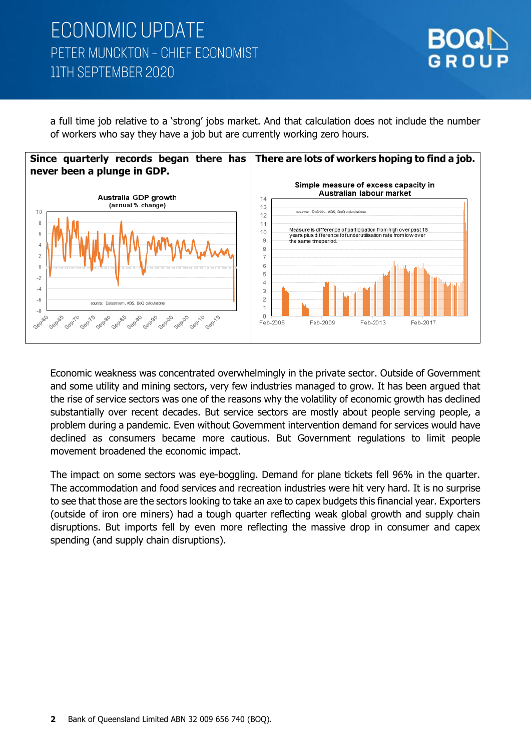

a full time job relative to a 'strong' jobs market. And that calculation does not include the number of workers who say they have a job but are currently working zero hours.



Economic weakness was concentrated overwhelmingly in the private sector. Outside of Government and some utility and mining sectors, very few industries managed to grow. It has been argued that the rise of service sectors was one of the reasons why the volatility of economic growth has declined substantially over recent decades. But service sectors are mostly about people serving people, a problem during a pandemic. Even without Government intervention demand for services would have declined as consumers became more cautious. But Government regulations to limit people movement broadened the economic impact.

The impact on some sectors was eye-boggling. Demand for plane tickets fell 96% in the quarter. The accommodation and food services and recreation industries were hit very hard. It is no surprise to see that those are the sectors looking to take an axe to capex budgets this financial year. Exporters (outside of iron ore miners) had a tough quarter reflecting weak global growth and supply chain disruptions. But imports fell by even more reflecting the massive drop in consumer and capex spending (and supply chain disruptions).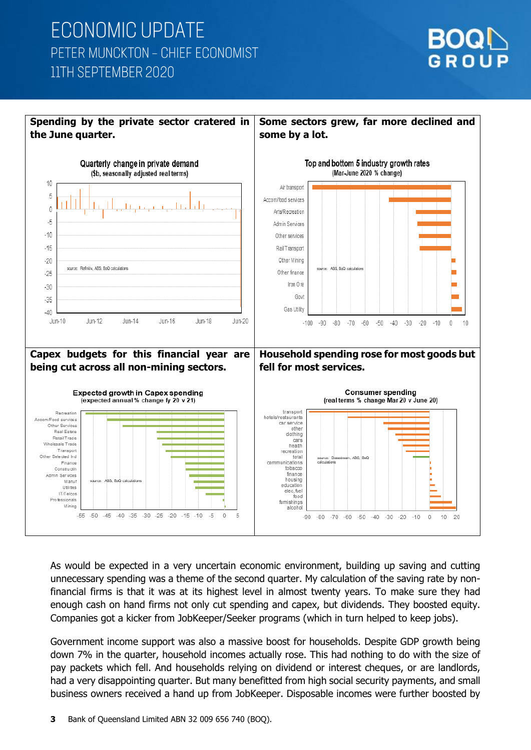



As would be expected in a very uncertain economic environment, building up saving and cutting unnecessary spending was a theme of the second quarter. My calculation of the saving rate by nonfinancial firms is that it was at its highest level in almost twenty years. To make sure they had enough cash on hand firms not only cut spending and capex, but dividends. They boosted equity. Companies got a kicker from JobKeeper/Seeker programs (which in turn helped to keep jobs).

Government income support was also a massive boost for households. Despite GDP growth being down 7% in the quarter, household incomes actually rose. This had nothing to do with the size of pay packets which fell. And households relying on dividend or interest cheques, or are landlords, had a very disappointing quarter. But many benefitted from high social security payments, and small business owners received a hand up from JobKeeper. Disposable incomes were further boosted by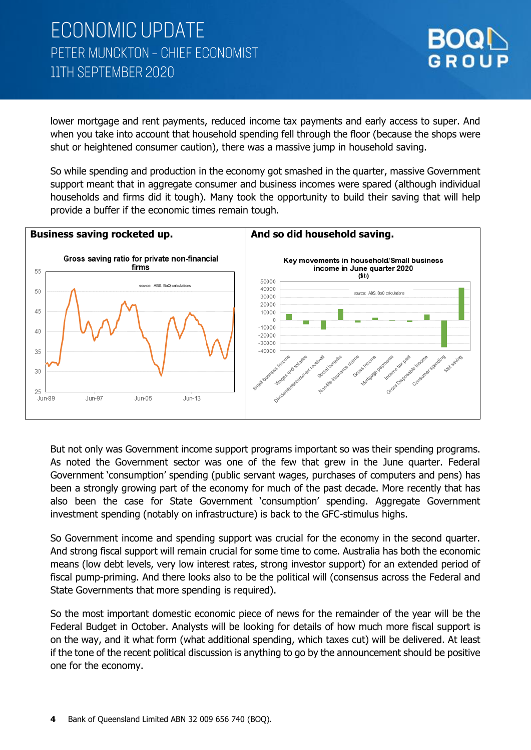lower mortgage and rent payments, reduced income tax payments and early access to super. And when you take into account that household spending fell through the floor (because the shops were shut or heightened consumer caution), there was a massive jump in household saving.

So while spending and production in the economy got smashed in the quarter, massive Government support meant that in aggregate consumer and business incomes were spared (although individual households and firms did it tough). Many took the opportunity to build their saving that will help provide a buffer if the economic times remain tough.



But not only was Government income support programs important so was their spending programs. As noted the Government sector was one of the few that grew in the June quarter. Federal Government 'consumption' spending (public servant wages, purchases of computers and pens) has been a strongly growing part of the economy for much of the past decade. More recently that has also been the case for State Government 'consumption' spending. Aggregate Government investment spending (notably on infrastructure) is back to the GFC-stimulus highs.

So Government income and spending support was crucial for the economy in the second quarter. And strong fiscal support will remain crucial for some time to come. Australia has both the economic means (low debt levels, very low interest rates, strong investor support) for an extended period of fiscal pump-priming. And there looks also to be the political will (consensus across the Federal and State Governments that more spending is required).

So the most important domestic economic piece of news for the remainder of the year will be the Federal Budget in October. Analysts will be looking for details of how much more fiscal support is on the way, and it what form (what additional spending, which taxes cut) will be delivered. At least if the tone of the recent political discussion is anything to go by the announcement should be positive one for the economy.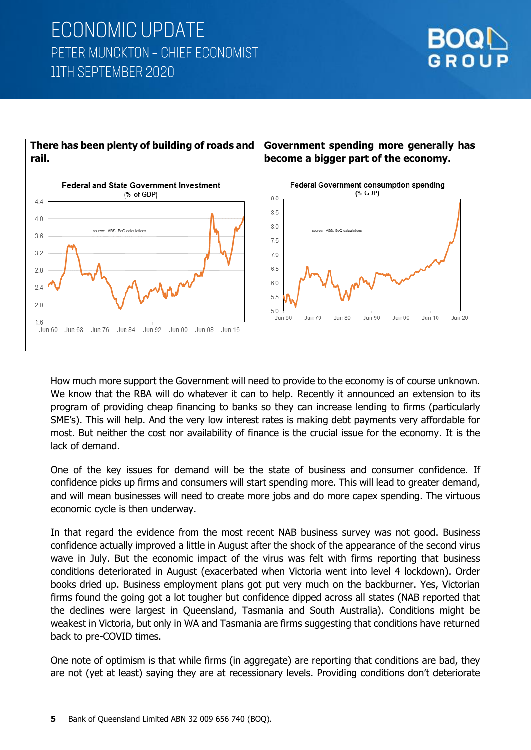



How much more support the Government will need to provide to the economy is of course unknown. We know that the RBA will do whatever it can to help. Recently it announced an extension to its program of providing cheap financing to banks so they can increase lending to firms (particularly SME's). This will help. And the very low interest rates is making debt payments very affordable for most. But neither the cost nor availability of finance is the crucial issue for the economy. It is the lack of demand.

One of the key issues for demand will be the state of business and consumer confidence. If confidence picks up firms and consumers will start spending more. This will lead to greater demand, and will mean businesses will need to create more jobs and do more capex spending. The virtuous economic cycle is then underway.

In that regard the evidence from the most recent NAB business survey was not good. Business confidence actually improved a little in August after the shock of the appearance of the second virus wave in July. But the economic impact of the virus was felt with firms reporting that business conditions deteriorated in August (exacerbated when Victoria went into level 4 lockdown). Order books dried up. Business employment plans got put very much on the backburner. Yes, Victorian firms found the going got a lot tougher but confidence dipped across all states (NAB reported that the declines were largest in Queensland, Tasmania and South Australia). Conditions might be weakest in Victoria, but only in WA and Tasmania are firms suggesting that conditions have returned back to pre-COVID times.

One note of optimism is that while firms (in aggregate) are reporting that conditions are bad, they are not (yet at least) saying they are at recessionary levels. Providing conditions don't deteriorate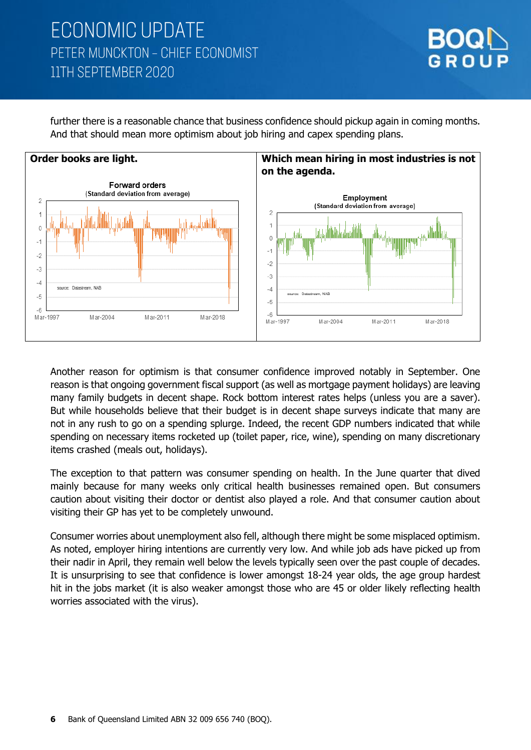



further there is a reasonable chance that business confidence should pickup again in coming months. And that should mean more optimism about job hiring and capex spending plans.

Another reason for optimism is that consumer confidence improved notably in September. One reason is that ongoing government fiscal support (as well as mortgage payment holidays) are leaving many family budgets in decent shape. Rock bottom interest rates helps (unless you are a saver). But while households believe that their budget is in decent shape surveys indicate that many are not in any rush to go on a spending splurge. Indeed, the recent GDP numbers indicated that while spending on necessary items rocketed up (toilet paper, rice, wine), spending on many discretionary items crashed (meals out, holidays).

The exception to that pattern was consumer spending on health. In the June quarter that dived mainly because for many weeks only critical health businesses remained open. But consumers caution about visiting their doctor or dentist also played a role. And that consumer caution about visiting their GP has yet to be completely unwound.

Consumer worries about unemployment also fell, although there might be some misplaced optimism. As noted, employer hiring intentions are currently very low. And while job ads have picked up from their nadir in April, they remain well below the levels typically seen over the past couple of decades. It is unsurprising to see that confidence is lower amongst 18-24 year olds, the age group hardest hit in the jobs market (it is also weaker amongst those who are 45 or older likely reflecting health worries associated with the virus).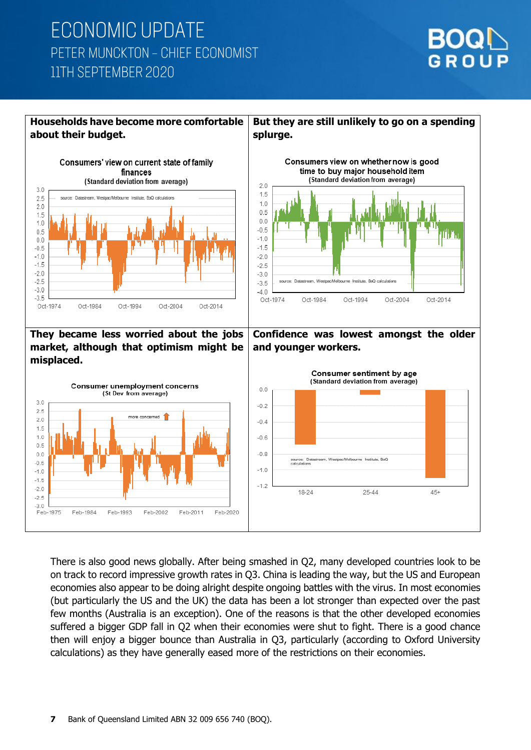



There is also good news globally. After being smashed in Q2, many developed countries look to be on track to record impressive growth rates in Q3. China is leading the way, but the US and European economies also appear to be doing alright despite ongoing battles with the virus. In most economies (but particularly the US and the UK) the data has been a lot stronger than expected over the past few months (Australia is an exception). One of the reasons is that the other developed economies suffered a bigger GDP fall in Q2 when their economies were shut to fight. There is a good chance then will enjoy a bigger bounce than Australia in Q3, particularly (according to Oxford University calculations) as they have generally eased more of the restrictions on their economies.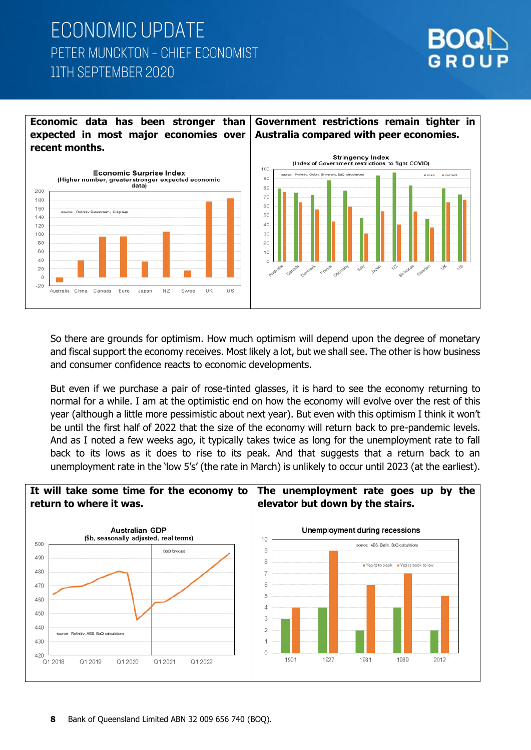

#### **Economic data has been stronger than expected in most major economies over recent months.**





**Government restrictions remain tighter in** 

So there are grounds for optimism. How much optimism will depend upon the degree of monetary and fiscal support the economy receives. Most likely a lot, but we shall see. The other is how business and consumer confidence reacts to economic developments.

But even if we purchase a pair of rose-tinted glasses, it is hard to see the economy returning to normal for a while. I am at the optimistic end on how the economy will evolve over the rest of this year (although a little more pessimistic about next year). But even with this optimism I think it won't be until the first half of 2022 that the size of the economy will return back to pre-pandemic levels. And as I noted a few weeks ago, it typically takes twice as long for the unemployment rate to fall back to its lows as it does to rise to its peak. And that suggests that a return back to an unemployment rate in the 'low 5's' (the rate in March) is unlikely to occur until 2023 (at the earliest).



**8** Bank of Queensland Limited ABN 32 009 656 740 (BOQ).